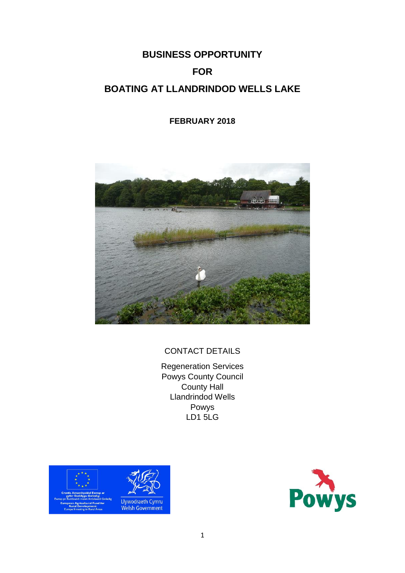# **BUSINESS OPPORTUNITY FOR BOATING AT LLANDRINDOD WELLS LAKE**

## **FEBRUARY 2018**



## CONTACT DETAILS

Regeneration Services Powys County Council County Hall Llandrindod Wells Powys LD1 5LG



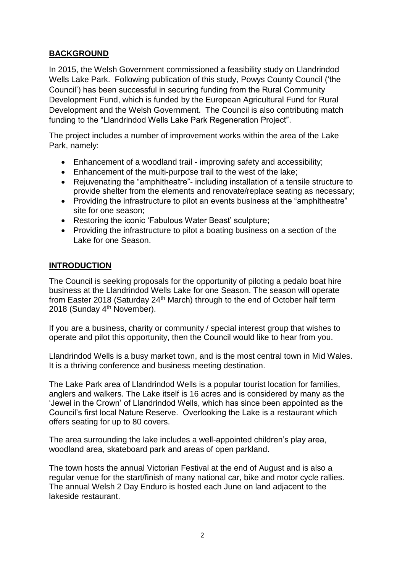## **BACKGROUND**

In 2015, the Welsh Government commissioned a feasibility study on Llandrindod Wells Lake Park. Following publication of this study, Powys County Council ('the Council') has been successful in securing funding from the Rural Community Development Fund, which is funded by the European Agricultural Fund for Rural Development and the Welsh Government. The Council is also contributing match funding to the "Llandrindod Wells Lake Park Regeneration Project".

The project includes a number of improvement works within the area of the Lake Park, namely:

- Enhancement of a woodland trail improving safety and accessibility;
- Enhancement of the multi-purpose trail to the west of the lake;
- Rejuvenating the "amphitheatre"- including installation of a tensile structure to provide shelter from the elements and renovate/replace seating as necessary;
- Providing the infrastructure to pilot an events business at the "amphitheatre" site for one season;
- Restoring the iconic 'Fabulous Water Beast' sculpture;
- Providing the infrastructure to pilot a boating business on a section of the Lake for one Season.

## **INTRODUCTION**

The Council is seeking proposals for the opportunity of piloting a pedalo boat hire business at the Llandrindod Wells Lake for one Season. The season will operate from Easter 2018 (Saturday 24<sup>th</sup> March) through to the end of October half term 2018 (Sunday 4th November).

If you are a business, charity or community / special interest group that wishes to operate and pilot this opportunity, then the Council would like to hear from you.

Llandrindod Wells is a busy market town, and is the most central town in Mid Wales. It is a thriving conference and business meeting destination.

The Lake Park area of Llandrindod Wells is a popular tourist location for families, anglers and walkers. The Lake itself is 16 acres and is considered by many as the 'Jewel in the Crown' of Llandrindod Wells, which has since been appointed as the Council's first local Nature Reserve. Overlooking the Lake is a restaurant which offers seating for up to 80 covers.

The area surrounding the lake includes a well-appointed children's play area, woodland area, skateboard park and areas of open parkland.

The town hosts the annual Victorian Festival at the end of August and is also a regular venue for the start/finish of many national car, bike and motor cycle rallies. The annual Welsh 2 Day Enduro is hosted each June on land adjacent to the lakeside restaurant.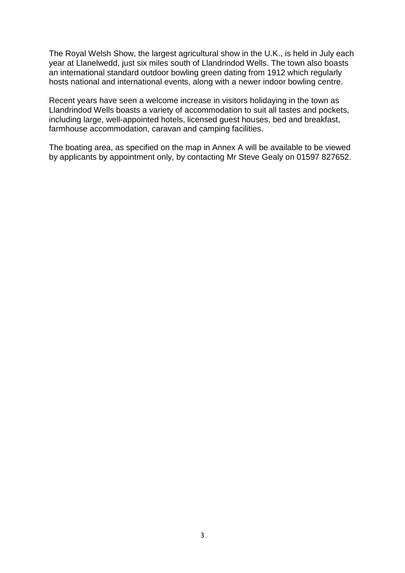The Royal Welsh Show, the largest agricultural show in the U.K., is held in July each year at Llanelwedd, just six miles south of Llandrindod Wells. The town also boasts an international standard outdoor bowling green dating from 1912 which regularly hosts national and international events, along with a newer indoor bowling centre.

Recent years have seen a welcome increase in visitors holidaying in the town as Llandrindod Wells boasts a variety of accommodation to suit all tastes and pockets, including large, well-appointed hotels, licensed guest houses, bed and breakfast, farmhouse accommodation, caravan and camping facilities.

The boating area, as specified on the map in Annex A will be available to be viewed by applicants by appointment only, by contacting Mr Steve Gealy on 01597 827652.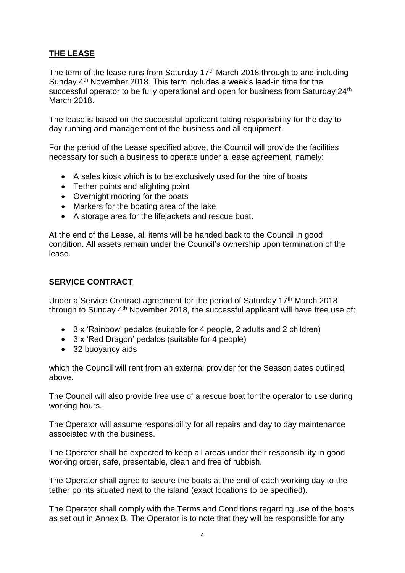## **THE LEASE**

The term of the lease runs from Saturday 17<sup>th</sup> March 2018 through to and including Sunday 4<sup>th</sup> November 2018. This term includes a week's lead-in time for the successful operator to be fully operational and open for business from Saturday 24<sup>th</sup> March 2018.

The lease is based on the successful applicant taking responsibility for the day to day running and management of the business and all equipment.

For the period of the Lease specified above, the Council will provide the facilities necessary for such a business to operate under a lease agreement, namely:

- A sales kiosk which is to be exclusively used for the hire of boats
- Tether points and alighting point
- Overnight mooring for the boats
- Markers for the boating area of the lake
- A storage area for the lifejackets and rescue boat.

At the end of the Lease, all items will be handed back to the Council in good condition. All assets remain under the Council's ownership upon termination of the lease.

#### **SERVICE CONTRACT**

Under a Service Contract agreement for the period of Saturday 17<sup>th</sup> March 2018 through to Sunday 4th November 2018, the successful applicant will have free use of:

- 3 x 'Rainbow' pedalos (suitable for 4 people, 2 adults and 2 children)
- 3 x 'Red Dragon' pedalos (suitable for 4 people)
- 32 buoyancy aids

which the Council will rent from an external provider for the Season dates outlined above.

The Council will also provide free use of a rescue boat for the operator to use during working hours.

The Operator will assume responsibility for all repairs and day to day maintenance associated with the business.

The Operator shall be expected to keep all areas under their responsibility in good working order, safe, presentable, clean and free of rubbish.

The Operator shall agree to secure the boats at the end of each working day to the tether points situated next to the island (exact locations to be specified).

The Operator shall comply with the Terms and Conditions regarding use of the boats as set out in Annex B. The Operator is to note that they will be responsible for any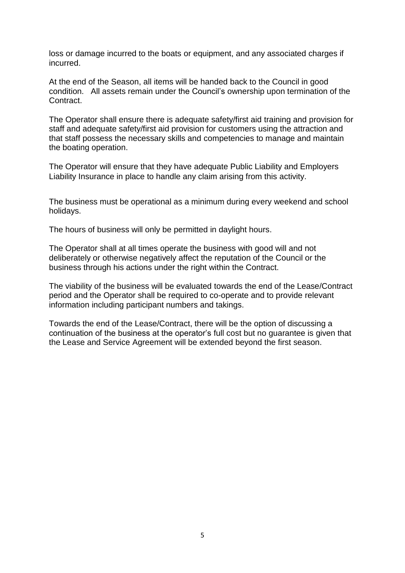loss or damage incurred to the boats or equipment, and any associated charges if incurred.

At the end of the Season, all items will be handed back to the Council in good condition. All assets remain under the Council's ownership upon termination of the Contract.

The Operator shall ensure there is adequate safety/first aid training and provision for staff and adequate safety/first aid provision for customers using the attraction and that staff possess the necessary skills and competencies to manage and maintain the boating operation.

The Operator will ensure that they have adequate Public Liability and Employers Liability Insurance in place to handle any claim arising from this activity.

The business must be operational as a minimum during every weekend and school holidays.

The hours of business will only be permitted in daylight hours.

The Operator shall at all times operate the business with good will and not deliberately or otherwise negatively affect the reputation of the Council or the business through his actions under the right within the Contract.

The viability of the business will be evaluated towards the end of the Lease/Contract period and the Operator shall be required to co-operate and to provide relevant information including participant numbers and takings.

Towards the end of the Lease/Contract, there will be the option of discussing a continuation of the business at the operator's full cost but no guarantee is given that the Lease and Service Agreement will be extended beyond the first season.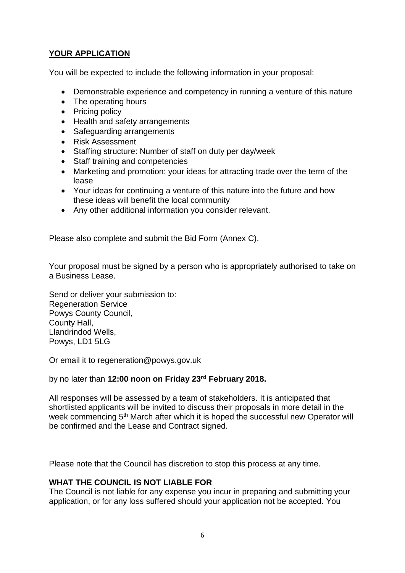## **YOUR APPLICATION**

You will be expected to include the following information in your proposal:

- Demonstrable experience and competency in running a venture of this nature
- The operating hours
- Pricing policy
- Health and safety arrangements
- Safeguarding arrangements
- Risk Assessment
- Staffing structure: Number of staff on duty per day/week
- Staff training and competencies
- Marketing and promotion: your ideas for attracting trade over the term of the lease
- Your ideas for continuing a venture of this nature into the future and how these ideas will benefit the local community
- Any other additional information you consider relevant.

Please also complete and submit the Bid Form (Annex C).

Your proposal must be signed by a person who is appropriately authorised to take on a Business Lease.

Send or deliver your submission to: Regeneration Service Powys County Council, County Hall, Llandrindod Wells, Powys, LD1 5LG

Or email it to regeneration@powys.gov.uk

#### by no later than **12:00 noon on Friday 23rd February 2018.**

All responses will be assessed by a team of stakeholders. It is anticipated that shortlisted applicants will be invited to discuss their proposals in more detail in the week commencing 5<sup>th</sup> March after which it is hoped the successful new Operator will be confirmed and the Lease and Contract signed.

Please note that the Council has discretion to stop this process at any time.

#### **WHAT THE COUNCIL IS NOT LIABLE FOR**

The Council is not liable for any expense you incur in preparing and submitting your application, or for any loss suffered should your application not be accepted. You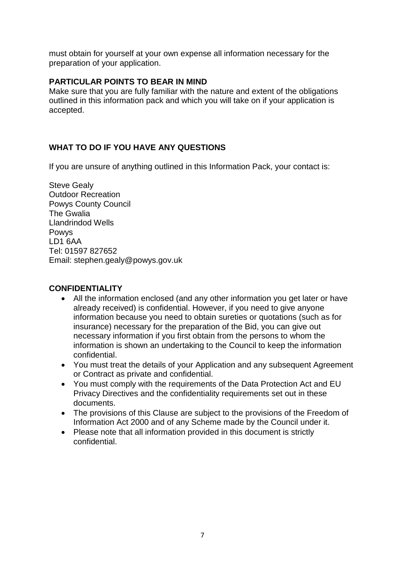must obtain for yourself at your own expense all information necessary for the preparation of your application.

#### **PARTICULAR POINTS TO BEAR IN MIND**

Make sure that you are fully familiar with the nature and extent of the obligations outlined in this information pack and which you will take on if your application is accepted.

## **WHAT TO DO IF YOU HAVE ANY QUESTIONS**

If you are unsure of anything outlined in this Information Pack, your contact is:

Steve Gealy Outdoor Recreation Powys County Council The Gwalia Llandrindod Wells Powys LD1 6AA Tel: 01597 827652 Email: stephen.gealy@powys.gov.uk

#### **CONFIDENTIALITY**

- All the information enclosed (and any other information you get later or have already received) is confidential. However, if you need to give anyone information because you need to obtain sureties or quotations (such as for insurance) necessary for the preparation of the Bid, you can give out necessary information if you first obtain from the persons to whom the information is shown an undertaking to the Council to keep the information confidential.
- You must treat the details of your Application and any subsequent Agreement or Contract as private and confidential.
- You must comply with the requirements of the Data Protection Act and EU Privacy Directives and the confidentiality requirements set out in these documents.
- The provisions of this Clause are subject to the provisions of the Freedom of Information Act 2000 and of any Scheme made by the Council under it.
- Please note that all information provided in this document is strictly confidential.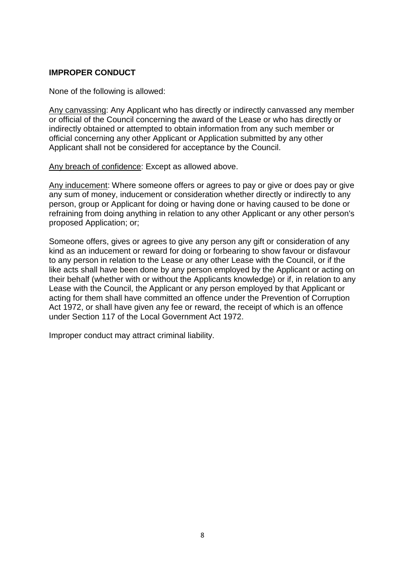#### **IMPROPER CONDUCT**

None of the following is allowed:

Any canvassing: Any Applicant who has directly or indirectly canvassed any member or official of the Council concerning the award of the Lease or who has directly or indirectly obtained or attempted to obtain information from any such member or official concerning any other Applicant or Application submitted by any other Applicant shall not be considered for acceptance by the Council.

Any breach of confidence: Except as allowed above.

Any inducement: Where someone offers or agrees to pay or give or does pay or give any sum of money, inducement or consideration whether directly or indirectly to any person, group or Applicant for doing or having done or having caused to be done or refraining from doing anything in relation to any other Applicant or any other person's proposed Application; or;

Someone offers, gives or agrees to give any person any gift or consideration of any kind as an inducement or reward for doing or forbearing to show favour or disfavour to any person in relation to the Lease or any other Lease with the Council, or if the like acts shall have been done by any person employed by the Applicant or acting on their behalf (whether with or without the Applicants knowledge) or if, in relation to any Lease with the Council, the Applicant or any person employed by that Applicant or acting for them shall have committed an offence under the Prevention of Corruption Act 1972, or shall have given any fee or reward, the receipt of which is an offence under Section 117 of the Local Government Act 1972.

Improper conduct may attract criminal liability.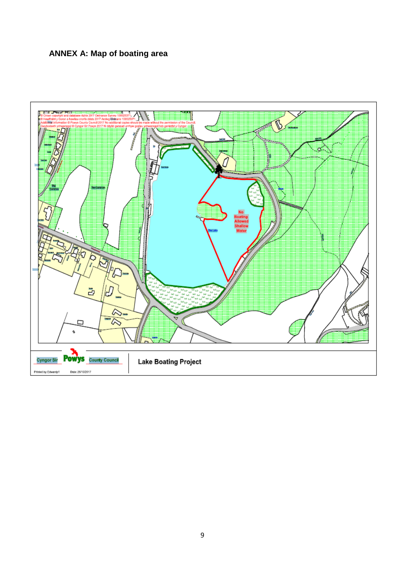## **ANNEX A: Map of boating area**

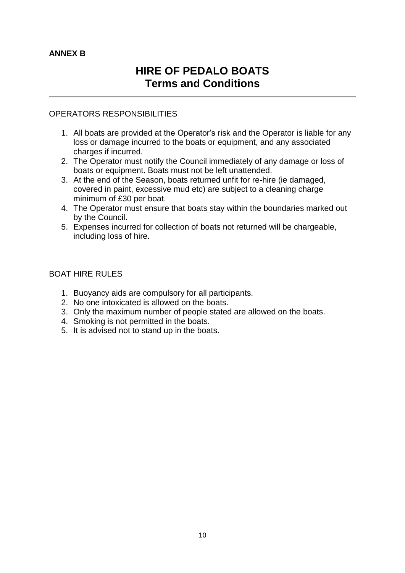## **ANNEX B**

# **HIRE OF PEDALO BOATS Terms and Conditions**

#### OPERATORS RESPONSIBILITIES

- 1. All boats are provided at the Operator's risk and the Operator is liable for any loss or damage incurred to the boats or equipment, and any associated charges if incurred.
- 2. The Operator must notify the Council immediately of any damage or loss of boats or equipment. Boats must not be left unattended.
- 3. At the end of the Season, boats returned unfit for re-hire (ie damaged, covered in paint, excessive mud etc) are subject to a cleaning charge minimum of £30 per boat.
- 4. The Operator must ensure that boats stay within the boundaries marked out by the Council.
- 5. Expenses incurred for collection of boats not returned will be chargeable, including loss of hire.

#### BOAT HIRE RULES

- 1. Buoyancy aids are compulsory for all participants.
- 2. No one intoxicated is allowed on the boats.
- 3. Only the maximum number of people stated are allowed on the boats.
- 4. Smoking is not permitted in the boats.
- 5. It is advised not to stand up in the boats.